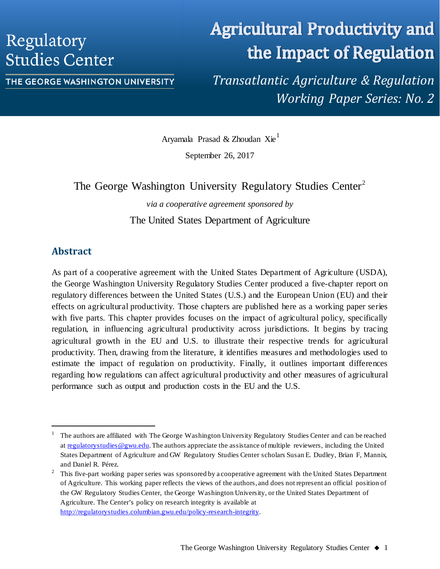## Regulatory **Studies Center**

# **Agricultural Productivity and** the Impact of Regulation

THE GEORGE WASHINGTON UNIVERSITY

*Transatlantic Agriculture & Regulation Working Paper Series: No. 2*

Aryamala Prasad & Zhoudan Xie[1](#page-0-0)

September 26, 2017

The George Washington University Regulatory Studies Center<sup>[2](#page-0-1)</sup>

*via a cooperative agreement sponsored by* The United States Department of Agriculture

## **Abstract**

As part of a cooperative agreement with the United States Department of Agriculture (USDA), the George Washington University Regulatory Studies Center produced a five-chapter report on regulatory differences between the United States (U.S.) and the European Union (EU) and their effects on agricultural productivity. Those chapters are published here as a working paper series with five parts. This chapter provides focuses on the impact of agricultural policy, specifically regulation, in influencing agricultural productivity across jurisdictions. It begins by tracing agricultural growth in the EU and U.S. to illustrate their respective trends for agricultural productivity. Then, drawing from the literature, it identifies measures and methodologies used to estimate the impact of regulation on productivity. Finally, it outlines important differences regarding how regulations can affect agricultural productivity and other measures of agricultural performance such as output and production costs in the EU and the U.S.

<span id="page-0-0"></span> <sup>1</sup> The authors are affiliated with The George Washington University Regulatory Studies Center and can be reached at [regulatorystudies@gwu.edu.](mailto:regulatorystudies@gwu.edu) The authors appreciate the assistance of multiple reviewers, including the United States Department of Agriculture and GW Regulatory Studies Center scholars Susan E. Dudley, Brian F, Mannix, and Daniel R. Pérez.

<span id="page-0-1"></span><sup>&</sup>lt;sup>2</sup> This five-part working paper series was sponsored by a cooperative agreement with the United States Department of Agriculture. This working paper reflects the views of the authors, and does not represent an official position of the GW Regulatory Studies Center, the George Washington University, or the United States Department of Agriculture. The Center's policy on research integrity is available at [http://regulatorystudies.columbian.gwu.edu/policy-research-integrity.](http://regulatorystudies.columbian.gwu.edu/policy-research-integrity)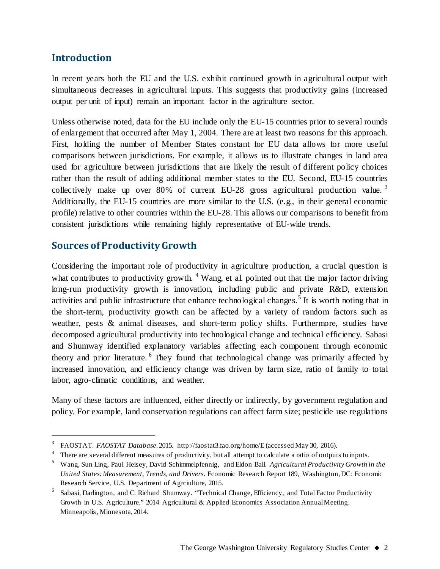## **Introduction**

In recent years both the EU and the U.S. exhibit continued growth in agricultural output with simultaneous decreases in agricultural inputs. This suggests that productivity gains (increased output per unit of input) remain an important factor in the agriculture sector.

Unless otherwise noted, data for the EU include only the EU-15 countries prior to several rounds of enlargement that occurred after May 1, 2004. There are at least two reasons for this approach. First, holding the number of Member States constant for EU data allows for more useful comparisons between jurisdictions. For example, it allows us to illustrate changes in land area used for agriculture between jurisdictions that are likely the result of different policy choices rather than the result of adding additional member states to the EU. Second, EU-15 countries collectively make up over 80% of current EU-28 gross agricultural production value.<sup>[3](#page-1-0)</sup> Additionally, the EU-15 countries are more similar to the U.S. (e.g., in their general economic profile) relative to other countries within the EU-28. This allows our comparisons to benefit from consistent jurisdictions while remaining highly representative of EU-wide trends.

### **Sources of Productivity Growth**

Considering the important role of productivity in agriculture production, a crucial question is what contributes to productivity growth.  $4$  Wang, et al. pointed out that the major factor driving long-run productivity growth is innovation, including public and private R&D, extension activities and public infrastructure that enhance technological changes.<sup>[5](#page-1-2)</sup> It is worth noting that in the short-term, productivity growth can be affected by a variety of random factors such as weather, pests & animal diseases, and short-term policy shifts. Furthermore, studies have decomposed agricultural productivity into technological change and technical efficiency. Sabasi and Shumway identified explanatory variables affecting each component through economic theory and prior literature. <sup>[6](#page-1-3)</sup> They found that technological change was primarily affected by increased innovation, and efficiency change was driven by farm size, ratio of family to total labor, agro-climatic conditions, and weather.

Many of these factors are influenced, either directly or indirectly, by government regulation and policy. For example, land conservation regulations can affect farm size; pesticide use regulations

<span id="page-1-0"></span> <sup>3</sup> FAOSTAT. *FAOSTAT Database*. 2015. http://faostat3.fao.org/home/E (accessed May 30, 2016).

<span id="page-1-1"></span><sup>&</sup>lt;sup>4</sup> There are several different measures of productivity, but all attempt to calculate a ratio of outputs to inputs.

<span id="page-1-2"></span><sup>5</sup> Wang, Sun Ling, Paul Heisey, David Schimmelpfennig, and Eldon Ball. *Agricultural Productivity Growth in the United States: Measurement, Trends, and Drivers*. Economic Research Report 189, Washington, DC: Economic Research Service, U.S. Department of Agrciulture, 2015.

<span id="page-1-3"></span><sup>6</sup> Sabasi, Darlington, and C. Richard Shumway. "Technical Change, Efficiency, and Total Factor Productivity Growth in U.S. Agriculture." 2014 Agricultural & Applied Economics Association Annual Meeting. Minneapolis, Minnesota, 2014.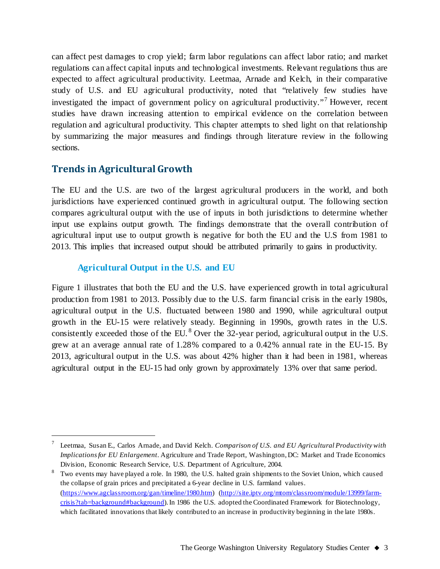can affect pest damages to crop yield; farm labor regulations can affect labor ratio; and market regulations can affect capital inputs and technological investments. Relevant regulations thus are expected to affect agricultural productivity. Leetmaa, Arnade and Kelch, in their comparative study of U.S. and EU agricultural productivity, noted that "relatively few studies have investigated the impact of government policy on agricultural productivity."<sup>[7](#page-2-0)</sup> However, recent studies have drawn increasing attention to empirical evidence on the correlation between regulation and agricultural productivity. This chapter attempts to shed light on that relationship by summarizing the major measures and findings through literature review in the following sections.

## **Trends in Agricultural Growth**

The EU and the U.S. are two of the largest agricultural producers in the world, and both jurisdictions have experienced continued growth in agricultural output. The following section compares agricultural output with the use of inputs in both jurisdictions to determine whether input use explains output growth. The findings demonstrate that the overall contribution of agricultural input use to output growth is negative for both the EU and the U.S from 1981 to 2013. This implies that increased output should be attributed primarily to gains in productivity.

#### **Agricultural Output in the U.S. and EU**

Figure 1 illustrates that both the EU and the U.S. have experienced growth in total agricultural production from 1981 to 2013. Possibly due to the U.S. farm financial crisis in the early 1980s, agricultural output in the U.S. fluctuated between 1980 and 1990, while agricultural output growth in the EU-15 were relatively steady. Beginning in 1990s, growth rates in the U.S. consistently exceeded those of the EU.<sup>[8](#page-2-1)</sup> Over the 32-year period, agricultural output in the U.S. grew at an average annual rate of 1.28% compared to a 0.42% annual rate in the EU-15. By 2013, agricultural output in the U.S. was about 42% higher than it had been in 1981, whereas agricultural output in the EU-15 had only grown by approximately 13% over that same period.

<span id="page-2-0"></span> <sup>7</sup> Leetmaa, Susan E., Carlos Arnade, and David Kelch. *Comparison of U.S. and EU Agricultural Productivity with Implications for EU Enlargement*. Agriculture and Trade Report, Washington, DC: Market and Trade Economics Division, Economic Research Service, U.S. Department of Agriculture, 2004.

<span id="page-2-1"></span><sup>&</sup>lt;sup>8</sup> Two events may have played a role. In 1980, the U.S. halted grain shipments to the Soviet Union, which caused the collapse of grain prices and precipitated a 6-year decline in U.S. farmland values. [\(https://www.agclassroom.org/gan/timeline/1980.htm\)](https://www.agclassroom.org/gan/timeline/1980.htm) [\(http://site.iptv.org/mtom/classroom/module/13999/farm](http://site.iptv.org/mtom/classroom/module/13999/farm-crisis?tab=background#background)[crisis?tab=background#background\)](http://site.iptv.org/mtom/classroom/module/13999/farm-crisis?tab=background#background). In 1986 the U.S. adopted the Coordinated Framework for Biotechnology, which facilitated innovations that likely contributed to an increase in productivity beginning in the late 1980s.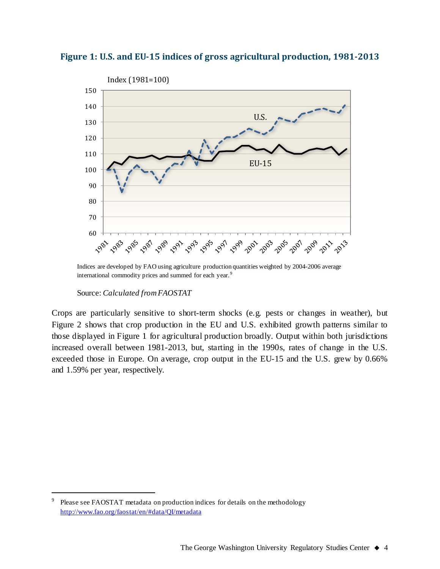



Indices are developed by FAO using agriculture production quantities weighted by 2004-2006 average international commodity prices and summed for each year.<sup>[9](#page-3-0)</sup>

Crops are particularly sensitive to short-term shocks (e.g. pests or changes in weather), but Figure 2 shows that crop production in the EU and U.S. exhibited growth patterns similar to those displayed in Figure 1 for agricultural production broadly. Output within both jurisdictions increased overall between 1981-2013, but, starting in the 1990s, rates of change in the U.S. exceeded those in Europe. On average, crop output in the EU-15 and the U.S. grew by 0.66% and 1.59% per year, respectively.

Source: *Calculated from FAOSTAT*

<span id="page-3-0"></span><sup>&</sup>lt;sup>9</sup> Please see FAOSTAT metadata on production indices for details on the methodology <http://www.fao.org/faostat/en/#data/QI/metadata>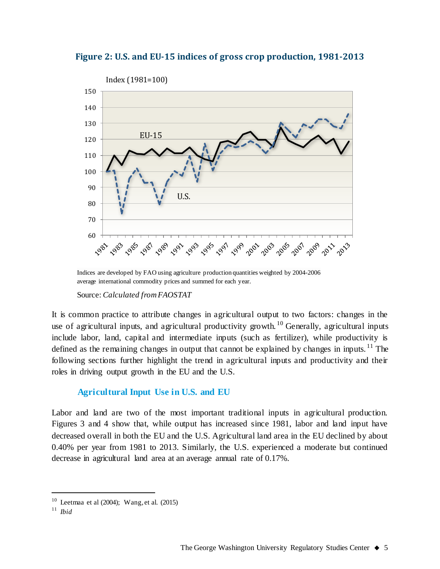



Indices are developed by FAO using agriculture production quantities weighted by 2004-2006 average international commodity prices and summed for each year.

Source: *Calculated from FAOSTAT*

It is common practice to attribute changes in agricultural output to two factors: changes in the use of agricultural inputs, and agricultural productivity growth. <sup>[10](#page-4-0)</sup> Generally, agricultural inputs include labor, land, capital and intermediate inputs (such as fertilizer), while productivity is defined as the remaining changes in output that cannot be explained by changes in inputs.<sup>[11](#page-4-1)</sup> The following sections further highlight the trend in agricultural inputs and productivity and their roles in driving output growth in the EU and the U.S.

#### **Agricultural Input Use in U.S. and EU**

Labor and land are two of the most important traditional inputs in agricultural production. Figures 3 and 4 show that, while output has increased since 1981, labor and land input have decreased overall in both the EU and the U.S. Agricultural land area in the EU declined by about 0.40% per year from 1981 to 2013. Similarly, the U.S. experienced a moderate but continued decrease in agricultural land area at an average annual rate of 0.17%.

<span id="page-4-0"></span><sup>&</sup>lt;sup>10</sup> Leetmaa et al  $(2004)$ ; Wang, et al.  $(2015)$ 

<span id="page-4-1"></span><sup>11</sup> *Ibid*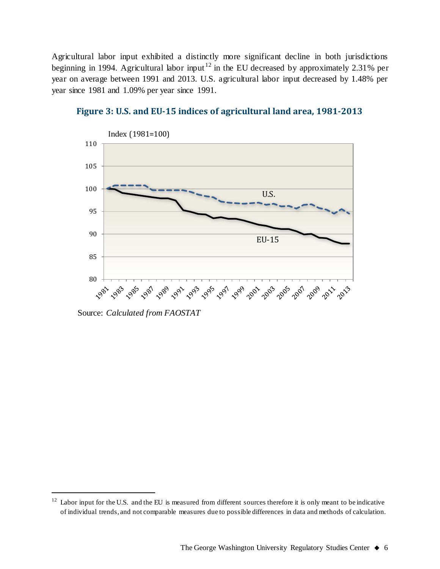Agricultural labor input exhibited a distinctly more significant decline in both jurisdictions beginning in 1994. Agricultural labor input<sup>[12](#page-5-0)</sup> in the EU decreased by approximately 2.31% per year on average between 1991 and 2013. U.S. agricultural labor input decreased by 1.48% per year since 1981 and 1.09% per year since 1991.



**Figure 3: U.S. and EU-15 indices of agricultural land area, 1981-2013**

Source: *Calculated from FAOSTAT*

<span id="page-5-0"></span> $12$  Labor input for the U.S. and the EU is measured from different sources therefore it is only meant to be indicative of individual trends, and not comparable measures due to possible differences in data and methods of calculation.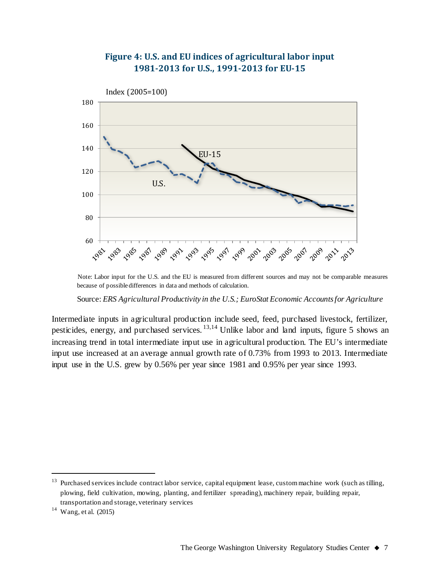

### **Figure 4: U.S. and EU indices of agricultural labor input 1981-2013 for U.S., 1991-2013 for EU-15**

Note: Labor input for the U.S. and the EU is measured from different sources and may not be comparable measures because of possible differences in data and methods of calculation.

Source: *ERS Agricultural Productivity in the U.S.; EuroStat Economic Accounts for Agriculture*

Intermediate inputs in agricultural production include seed, feed, purchased livestock, fertilizer, pesticides, energy, and purchased services. <sup>[13,](#page-6-0)[14](#page-6-1)</sup> Unlike labor and land inputs, figure 5 shows an increasing trend in total intermediate input use in agricultural production. The EU's intermediate input use increased at an average annual growth rate of 0.73% from 1993 to 2013. Intermediate input use in the U.S. grew by 0.56% per year since 1981 and 0.95% per year since 1993.

<span id="page-6-0"></span><sup>&</sup>lt;sup>13</sup> Purchased services include contract labor service, capital equipment lease, custom machine work (such as tilling, plowing, field cultivation, mowing, planting, and fertilizer spreading), machinery repair, building repair, transportation and storage, veterinary services

<span id="page-6-1"></span><sup>14</sup> Wang, et al. (2015)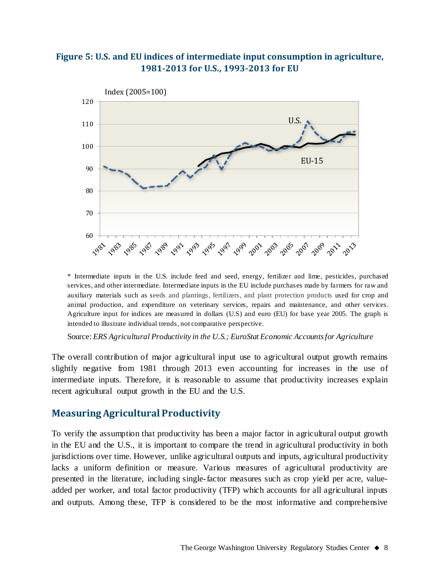#### **Figure 5: U.S. and EU indices of intermediate input consumption in agriculture, 1981-2013 for U.S., 1993-2013 for EU**



\* Intermediate inputs in the U.S. include feed and seed, energy, fertilizer and lime, pesticides, purchased services, and other intermediate. Intermediate inputs in the EU include purchases made by farmers for raw and auxiliary materials such as seeds and plantings, fertilizers, and plant protection products used for crop and animal production, and expenditure on veterinary services, repairs and maintenance, and other services. Agriculture input for indices are measured in dollars (U.S) and euro (EU) for base year 2005. The graph is intended to illustrate individual trends, not comparative perspective.

Source: *ERS Agricultural Productivity in the U.S.; EuroStat Economic Accounts for Agriculture*

The overall contribution of major agricultural input use to agricultural output growth remains slightly negative from 1981 through 2013 even accounting for increases in the use of intermediate inputs. Therefore, it is reasonable to assume that productivity increases explain recent agricultural output growth in the EU and the U.S.

#### **Measuring Agricultural Productivity**

To verify the assumption that productivity has been a major factor in agricultural output growth in the EU and the U.S., it is important to compare the trend in agricultural productivity in both jurisdictions over time. However, unlike agricultural outputs and inputs, agricultural productivity lacks a uniform definition or measure. Various measures of agricultural productivity are presented in the literature, including single-factor measures such as crop yield per acre, valueadded per worker, and total factor productivity (TFP) which accounts for all agricultural inputs and outputs. Among these, TFP is considered to be the most informative and comprehensive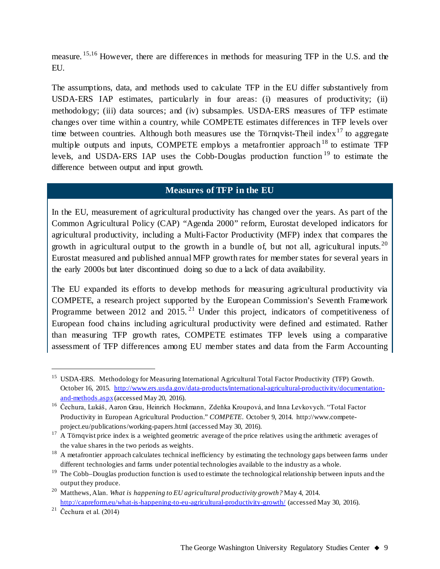measure.<sup>[15](#page-8-0),[16](#page-8-1)</sup> However, there are differences in methods for measuring TFP in the U.S. and the EU.

The assumptions, data, and methods used to calculate TFP in the EU differ substantively from USDA-ERS IAP estimates, particularly in four areas: (i) measures of productivity; (ii) methodology; (iii) data sources; and (iv) subsamples. USDA-ERS measures of TFP estimate changes over time within a country, while COMPETE estimates differences in TFP levels over time between countries. Although both measures use the Törnqvist-Theil index<sup>[17](#page-8-2)</sup> to aggregate multiple outputs and inputs, COMPETE employs a metafrontier approach  $18$  to estimate TFP levels, and USDA-ERS IAP uses the Cobb-Douglas production function [19](#page-8-4) to estimate the difference between output and input growth.

#### **Measures of TFP in the EU**

In the EU, measurement of agricultural productivity has changed over the years. As part of the Common Agricultural Policy (CAP) "Agenda 2000" reform, Eurostat developed indicators for agricultural productivity, including a Multi-Factor Productivity (MFP) index that compares the growth in agricultural output to the growth in a bundle of, but not all, agricultural inputs.<sup>[20](#page-8-5)</sup> Eurostat measured and published annual MFP growth rates for member states for several years in the early 2000s but later discontinued doing so due to a lack of data availability.

The EU expanded its efforts to develop methods for measuring agricultural productivity via COMPETE, a research project supported by the European Commission's Seventh Framework Programme between 2012 and 2015.<sup>[21](#page-8-6)</sup> Under this project, indicators of competitiveness of European food chains including agricultural productivity were defined and estimated. Rather than measuring TFP growth rates, COMPETE estimates TFP levels using a comparative assessment of TFP differences among EU member states and data from the Farm Accounting

<span id="page-8-0"></span><sup>&</sup>lt;sup>15</sup> USDA-ERS. Methodology for Measuring International Agricultural Total Factor Productivity (TFP) Growth. October 16, 2015. [http://www.ers.usda.gov/data-products/international-agricultural-productivity/documentation](http://www.ers.usda.gov/data-products/international-agricultural-productivity/documentation-and-methods.aspx)[and-methods.aspx](http://www.ers.usda.gov/data-products/international-agricultural-productivity/documentation-and-methods.aspx)(accessed May 20, 2016).

<span id="page-8-1"></span><sup>16</sup> Čechura, Lukáš, Aaron Grau, Heinrich Hockmann, Zdeňka Kroupová, and Inna Levkovych. "Total Factor Productivity in European Agricultural Production." *COMPETE*. October 9, 2014. http://www.competeproject.eu/publications/working-papers.html (accessed May 30, 2016).

<span id="page-8-2"></span><sup>&</sup>lt;sup>17</sup> A Törnqvist price index is a weighted geometric average of the price relatives using the arithmetic averages of the value shares in the two periods as weights.

<span id="page-8-3"></span> $18$  A metafrontier approach calculates technical inefficiency by estimating the technology gaps between farms under different technologies and farms under potential technologies available to the industry as a whole.

<span id="page-8-4"></span><sup>&</sup>lt;sup>19</sup> The Cobb–Douglas production function is used to estimate the technological relationship between inputs and the output they produce.

<span id="page-8-5"></span><sup>20</sup> Matthews, Alan. *What is happening to EU agricultural productivity growth?* May 4, 2014. <http://capreform.eu/what-is-happening-to-eu-agricultural-productivity-growth/> (accessed May 30, 2016).

<span id="page-8-6"></span> $21$  Čechura et al. (2014)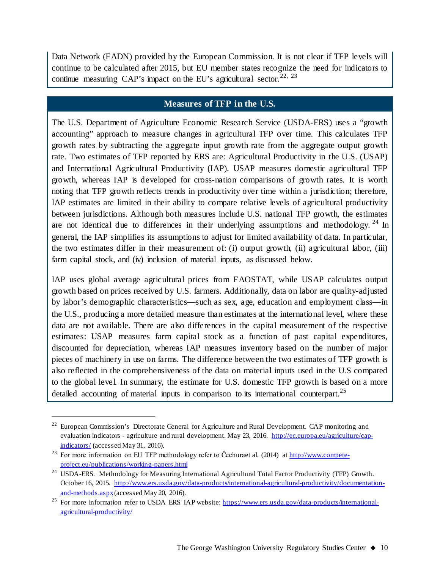Data Network (FADN) provided by the European Commission. It is not clear if TFP levels will continue to be calculated after 2015, but EU member states recognize the need for indicators to continue measuring CAP's impact on the EU's agricultural sector.<sup>[22,](#page-9-0) [23](#page-9-1)</sup>

#### **Measures of TFP in the U.S.**

The U.S. Department of Agriculture Economic Research Service (USDA-ERS) uses a "growth accounting" approach to measure changes in agricultural TFP over time. This calculates TFP growth rates by subtracting the aggregate input growth rate from the aggregate output growth rate. Two estimates of TFP reported by ERS are: Agricultural Productivity in the U.S. (USAP) and International Agricultural Productivity (IAP). USAP measures domestic agricultural TFP growth, whereas IAP is developed for cross-nation comparisons of growth rates. It is worth noting that TFP growth reflects trends in productivity over time within a jurisdiction; therefore, IAP estimates are limited in their ability to compare relative levels of agricultural productivity between jurisdictions. Although both measures include U.S. national TFP growth, the estimates are not identical due to differences in their underlying assumptions and methodology.  $24$  In general, the IAP simplifies its assumptions to adjust for limited availability of data. In particular, the two estimates differ in their measurement of: (i) output growth, (ii) agricultural labor, (iii) farm capital stock, and (iv) inclusion of material inputs, as discussed below.

IAP uses global average agricultural prices from FAOSTAT, while USAP calculates output growth based on prices received by U.S. farmers. Additionally, data on labor are quality-adjusted by labor's demographic characteristics—such as sex, age, education and employment class—in the U.S., producing a more detailed measure than estimates at the international level, where these data are not available. There are also differences in the capital measurement of the respective estimates: USAP measures farm capital stock as a function of past capital expenditures, discounted for depreciation, whereas IAP measures inventory based on the number of major pieces of machinery in use on farms. The difference between the two estimates of TFP growth is also reflected in the comprehensiveness of the data on material inputs used in the U.S compared to the global level. In summary, the estimate for U.S. domestic TFP growth is based on a more detailed accounting of material inputs in comparison to its international counterpart.<sup>[25](#page-9-3)</sup>

<span id="page-9-0"></span><sup>&</sup>lt;sup>22</sup> European Commission's Directorate General for Agriculture and Rural Development. CAP monitoring and evaluation indicators - agriculture and rural development. May 23, 2016. [http://ec.europa.eu/agriculture/cap](http://ec.europa.eu/agriculture/cap-indicators/)[indicators/](http://ec.europa.eu/agriculture/cap-indicators/) (accessed May 31, 2016).

<span id="page-9-1"></span><sup>&</sup>lt;sup>23</sup> For more information on EU TFP methodology refer to Čechuraet al. (2014) a[t http://www.compete](http://www.compete-project.eu/publications/working-papers.html)[project.eu/publications/working-papers.html](http://www.compete-project.eu/publications/working-papers.html)

<span id="page-9-2"></span><sup>&</sup>lt;sup>24</sup> USDA-ERS. Methodology for Measuring International Agricultural Total Factor Productivity (TFP) Growth. October 16, 2015. [http://www.ers.usda.gov/data-products/international-agricultural-productivity/documentation](http://www.ers.usda.gov/data-products/international-agricultural-productivity/documentation-and-methods.aspx)[and-methods.aspx](http://www.ers.usda.gov/data-products/international-agricultural-productivity/documentation-and-methods.aspx)(accessed May 20, 2016).

<span id="page-9-3"></span><sup>&</sup>lt;sup>25</sup> For more information refer to USDA ERS IAP website: [https://www.ers.usda.gov/data-products/international](https://www.ers.usda.gov/data-products/international-agricultural-productivity/)[agricultural-productivity/](https://www.ers.usda.gov/data-products/international-agricultural-productivity/)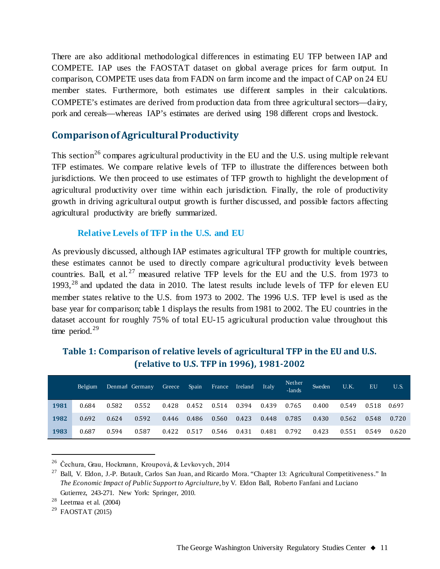There are also additional methodological differences in estimating EU TFP between IAP and COMPETE. IAP uses the FAOSTAT dataset on global average prices for farm output. In comparison, COMPETE uses data from FADN on farm income and the impact of CAP on 24 EU member states. Furthermore, both estimates use different samples in their calculations. COMPETE's estimates are derived from production data from three agricultural sectors—dairy, pork and cereals—whereas IAP's estimates are derived using 198 different crops and livestock.

## **Comparison of Agricultural Productivity**

This section<sup>26</sup> compares agricultural productivity in the EU and the U.S. using multiple relevant TFP estimates. We compare relative levels of TFP to illustrate the differences between both jurisdictions. We then proceed to use estimates of TFP growth to highlight the development of agricultural productivity over time within each jurisdiction. Finally, the role of productivity growth in driving agricultural output growth is further discussed, and possible factors affecting agricultural productivity are briefly summarized.

#### **Relative Levels of TFP in the U.S. and EU**

As previously discussed, although IAP estimates agricultural TFP growth for multiple countries, these estimates cannot be used to directly compare agricultural productivity levels between countries. Ball, et al.<sup>[27](#page-10-1)</sup> measured relative TFP levels for the EU and the U.S. from 1973 to 1993, $^{28}$  $^{28}$  $^{28}$  and updated the data in 2010. The latest results include levels of TFP for eleven EU member states relative to the U.S. from 1973 to 2002. The 1996 U.S. TFP level is used as the base year for comparison; table 1 displays the results from 1981 to 2002. The EU countries in the dataset account for roughly 75% of total EU-15 agricultural production value throughout this time period.<sup>[29](#page-10-3)</sup>

|      | Belgium |       | Denmarl Germany | Greece / | Spain | France | Ireland | It alv | Nether<br>-lands | Sweden | U.K.  | <b>EU</b> | U.S.  |
|------|---------|-------|-----------------|----------|-------|--------|---------|--------|------------------|--------|-------|-----------|-------|
| 1981 | 0.684   | 0.582 | 0.552           | 0.428    | 0.452 | 0.514  | 0.394   | 0.439  | 0.765            | 0.400  | 0.549 | 0.518     | 0.697 |
| 1982 | 0.692   | 0.624 | 0.592           | 0.446    | 0.486 | 0.560  | 0.423   | 0.448  | 0.785            | 0.430  | 0.562 | 0.548     | 0.720 |
| 1983 | 0.687   | 0.594 | 0.587           | 0.422    | 0.517 | 0.546  | 0.431   | 0.481  | 0.792            | 0.423  | 0.551 | 0.549     | 0.620 |

## **Table 1: Comparison of relative levels of agricultural TFP in the EU and U.S. (relative to U.S. TFP in 1996), 1981-2002**

<span id="page-10-0"></span> <sup>26</sup> Čechura, Grau, Hockmann, Kroupová, & Levkovych, 2014

<span id="page-10-1"></span> $27$  Ball, V. Eldon, J.-P. Butault, Carlos San Juan, and Ricardo Mora. "Chapter 13: Agricultural Competitiveness." In *The Economic Impact of Public Support to Agrciulture*, by V. Eldon Ball, Roberto Fanfani and Luciano Gutierrez, 243-271. New York: Springer, 2010.

<span id="page-10-2"></span> $28$  Leetmaa et al. (2004)

<span id="page-10-3"></span> $29$  FAOSTAT (2015)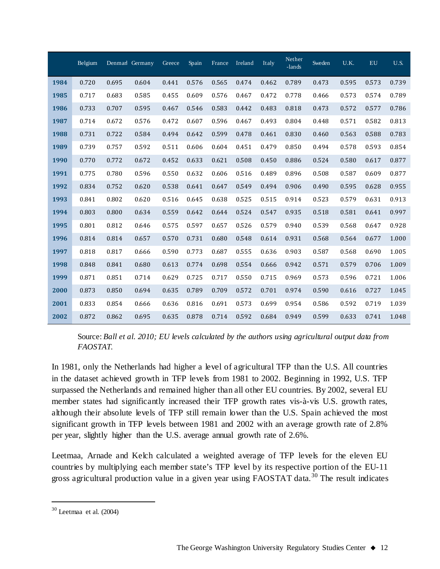|      | Belgium |       | Denmarl Germany | Greece | Spain | France | Ireland | Italy | Nether<br>-lands | Sweden | U.K.  | <b>EU</b> | <b>U.S.</b> |
|------|---------|-------|-----------------|--------|-------|--------|---------|-------|------------------|--------|-------|-----------|-------------|
| 1984 | 0.720   | 0.695 | 0.604           | 0.441  | 0.576 | 0.565  | 0.474   | 0.462 | 0.789            | 0.473  | 0.595 | 0.573     | 0.739       |
| 1985 | 0.717   | 0.683 | 0.585           | 0.455  | 0.609 | 0.576  | 0.467   | 0.472 | 0.778            | 0.466  | 0.573 | 0.574     | 0.789       |
| 1986 | 0.733   | 0.707 | 0.595           | 0.467  | 0.546 | 0.583  | 0.442   | 0.483 | 0.818            | 0.473  | 0.572 | 0.577     | 0.786       |
| 1987 | 0.714   | 0.672 | 0.576           | 0.472  | 0.607 | 0.596  | 0.467   | 0.493 | 0.804            | 0.448  | 0.571 | 0.582     | 0.813       |
| 1988 | 0.731   | 0.722 | 0.584           | 0.494  | 0.642 | 0.599  | 0.478   | 0.461 | 0.830            | 0.460  | 0.563 | 0.588     | 0.783       |
| 1989 | 0.739   | 0.757 | 0.592           | 0.511  | 0.606 | 0.604  | 0.451   | 0.479 | 0.850            | 0.494  | 0.578 | 0.593     | 0.854       |
| 1990 | 0.770   | 0.772 | 0.672           | 0.452  | 0.633 | 0.621  | 0.508   | 0.450 | 0.886            | 0.524  | 0.580 | 0.617     | 0.877       |
| 1991 | 0.775   | 0.780 | 0.596           | 0.550  | 0.632 | 0.606  | 0.516   | 0.489 | 0.896            | 0.508  | 0.587 | 0.609     | 0.877       |
| 1992 | 0.834   | 0.752 | 0.620           | 0.538  | 0.641 | 0.647  | 0.549   | 0.494 | 0.906            | 0.490  | 0.595 | 0.628     | 0.955       |
| 1993 | 0.841   | 0.802 | 0.620           | 0.516  | 0.645 | 0.638  | 0.525   | 0.515 | 0.914            | 0.523  | 0.579 | 0.631     | 0.913       |
| 1994 | 0.803   | 0.800 | 0.634           | 0.559  | 0.642 | 0.644  | 0.524   | 0.547 | 0.935            | 0.518  | 0.581 | 0.641     | 0.997       |
| 1995 | 0.801   | 0.812 | 0.646           | 0.575  | 0.597 | 0.657  | 0.526   | 0.579 | 0.940            | 0.539  | 0.568 | 0.647     | 0.928       |
| 1996 | 0.814   | 0.814 | 0.657           | 0.570  | 0.731 | 0.680  | 0.548   | 0.614 | 0.931            | 0.568  | 0.564 | 0.677     | 1.000       |
| 1997 | 0.818   | 0.817 | 0.666           | 0.590  | 0.773 | 0.687  | 0.555   | 0.636 | 0.903            | 0.587  | 0.568 | 0.690     | 1.005       |
| 1998 | 0.848   | 0.841 | 0.680           | 0.613  | 0.774 | 0.698  | 0.554   | 0.666 | 0.942            | 0.571  | 0.579 | 0.706     | 1.009       |
| 1999 | 0.871   | 0.851 | 0.714           | 0.629  | 0.725 | 0.717  | 0.550   | 0.715 | 0.969            | 0.573  | 0.596 | 0.721     | 1.006       |
| 2000 | 0.873   | 0.850 | 0.694           | 0.635  | 0.789 | 0.709  | 0.572   | 0.701 | 0.974            | 0.590  | 0.616 | 0.727     | 1.045       |
| 2001 | 0.833   | 0.854 | 0.666           | 0.636  | 0.816 | 0.691  | 0.573   | 0.699 | 0.954            | 0.586  | 0.592 | 0.719     | 1.039       |
| 2002 | 0.872   | 0.862 | 0.695           | 0.635  | 0.878 | 0.714  | 0.592   | 0.684 | 0.949            | 0.599  | 0.633 | 0.741     | 1.048       |

Source: *Ball et al. 2010; EU levels calculated by the authors using agricultural output data from FAOSTAT.*

In 1981, only the Netherlands had higher a level of agricultural TFP than the U.S. All countries in the dataset achieved growth in TFP levels from 1981 to 2002. Beginning in 1992, U.S. TFP surpassed the Netherlands and remained higher than all other EU countries. By 2002, several EU member states had significantly increased their TFP growth rates vis-à-vis U.S. growth rates, although their absolute levels of TFP still remain lower than the U.S. Spain achieved the most significant growth in TFP levels between 1981 and 2002 with an average growth rate of 2.8% per year, slightly higher than the U.S. average annual growth rate of 2.6%.

Leetmaa, Arnade and Kelch calculated a weighted average of TFP levels for the eleven EU countries by multiplying each member state's TFP level by its respective portion of the EU-11 gross agricultural production value in a given year using FAOSTAT data.<sup>[30](#page-11-0)</sup> The result indicates

<span id="page-11-0"></span> $30$  Leetmaa et al. (2004)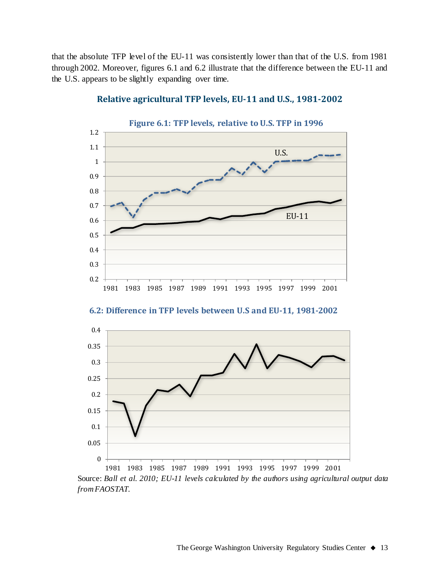that the absolute TFP level of the EU-11 was consistently lower than that of the U.S. from 1981 through 2002. Moreover, figures 6.1 and 6.2 illustrate that the difference between the EU-11 and the U.S. appears to be slightly expanding over time.



#### **Relative agricultural TFP levels, EU-11 and U.S., 1981-2002**

**6.2: Difference in TFP levels between U.S and EU-11, 1981-2002**



Source: *Ball et al. 2010; EU-11 levels calculated by the authors using agricultural output data from FAOSTAT.*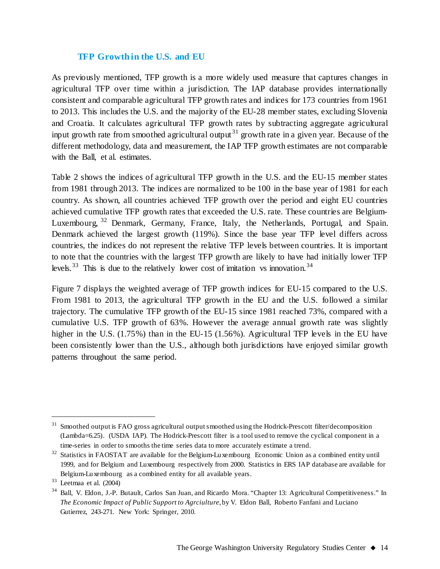#### **TFP Growth in the U.S. and EU**

As previously mentioned, TFP growth is a more widely used measure that captures changes in agricultural TFP over time within a jurisdiction. The IAP database provides internationally consistent and comparable agricultural TFP growth rates and indices for 173 countries from 1961 to 2013. This includes the U.S. and the majority of the EU-28 member states, excluding Slovenia and Croatia. It calculates agricultural TFP growth rates by subtracting aggregate agricultural input growth rate from smoothed agricultural output<sup>[31](#page-13-0)</sup> growth rate in a given year. Because of the different methodology, data and measurement, the IAP TFP growth estimates are not comparable with the Ball, et al. estimates.

Table 2 shows the indices of agricultural TFP growth in the U.S. and the EU-15 member states from 1981 through 2013. The indices are normalized to be 100 in the base year of 1981 for each country. As shown, all countries achieved TFP growth over the period and eight EU countries achieved cumulative TFP growth rates that exceeded the U.S. rate. These countries are Belgium-Luxembourg, <sup>[32](#page-13-1)</sup> Denmark, Germany, France, Italy, the Netherlands, Portugal, and Spain. Denmark achieved the largest growth (119%). Since the base year TFP level differs across countries, the indices do not represent the relative TFP levels between countries. It is important to note that the countries with the largest TFP growth are likely to have had initially lower TFP levels.<sup>[33](#page-13-2)</sup> This is due to the relatively lower cost of imitation vs innovation.<sup>[34](#page-13-3)</sup>

Figure 7 displays the weighted average of TFP growth indices for EU-15 compared to the U.S. From 1981 to 2013, the agricultural TFP growth in the EU and the U.S. followed a similar trajectory. The cumulative TFP growth of the EU-15 since 1981 reached 73%, compared with a cumulative U.S. TFP growth of 63%. However the average annual growth rate was slightly higher in the U.S.  $(1.75\%)$  than in the EU-15  $(1.56\%)$ . Agricultural TFP levels in the EU have been consistently lower than the U.S., although both jurisdictions have enjoyed similar growth patterns throughout the same period.

<span id="page-13-0"></span> $31$  Smoothed output is FAO gross agricultural output smoothed using the Hodrick-Prescott filter/decomposition (Lambda=6.25). (USDA IAP). The Hodrick-Prescott filter is a tool used to remove the cyclical component in a time-series in order to smooths the time series data to more accurately estimate a trend.

<span id="page-13-1"></span><sup>&</sup>lt;sup>32</sup> Statistics in FAOSTAT are available for the Belgium-Luxembourg Economic Union as a combined entity until 1999, and for Belgium and Luxembourg respectively from 2000. Statistics in ERS IAP database are available for Belgium-Luxembourg as a combined entity for all available years.

<span id="page-13-2"></span> $33$  Leetmaa et al. (2004)

<span id="page-13-3"></span><sup>&</sup>lt;sup>34</sup> Ball, V. Eldon, J.-P. Butault, Carlos San Juan, and Ricardo Mora. "Chapter 13: Agricultural Competitiveness." In *The Economic Impact of Public Support to Agrciulture*, by V. Eldon Ball, Roberto Fanfani and Luciano Gutierrez, 243-271. New York: Springer, 2010.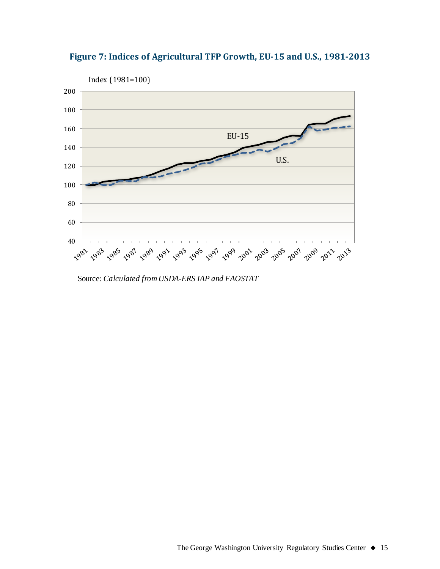

**Figure 7: Indices of Agricultural TFP Growth, EU-15 and U.S., 1981-2013**

Source: *Calculated from USDA-ERS IAP and FAOSTAT*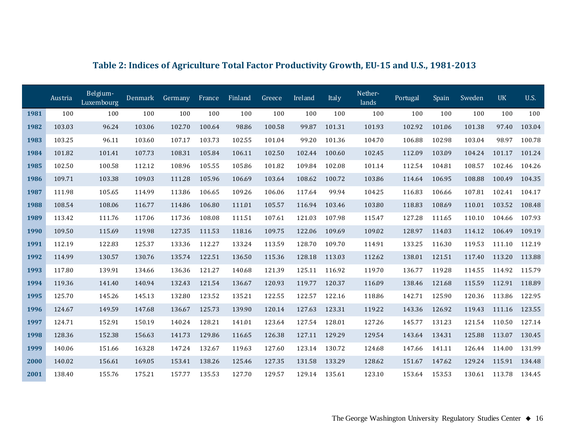|      | Austria | Belgium-<br>Luxembourg | Denmark | Germany | France | Finland | Greece | Ireland | Italy  | Nether-<br>lands | Portugal | Spain  | Sweden | <b>UK</b> | <b>U.S.</b> |
|------|---------|------------------------|---------|---------|--------|---------|--------|---------|--------|------------------|----------|--------|--------|-----------|-------------|
| 1981 | 100     | 100                    | 100     | 100     | 100    | 100     | 100    | 100     | 100    | 100              | 100      | 100    | 100    | 100       | 100         |
| 1982 | 103.03  | 96.24                  | 103.06  | 102.70  | 100.64 | 98.86   | 100.58 | 99.87   | 101.31 | 101.93           | 102.92   | 101.06 | 101.38 | 97.40     | 103.04      |
| 1983 | 103.25  | 96.11                  | 103.60  | 107.17  | 103.73 | 102.55  | 101.04 | 99.20   | 101.36 | 104.70           | 106.88   | 102.98 | 103.04 | 98.97     | 100.78      |
| 1984 | 101.82  | 101.41                 | 107.73  | 108.31  | 105.84 | 106.11  | 102.50 | 102.44  | 100.60 | 102.45           | 112.09   | 103.09 | 104.24 | 101.17    | 101.24      |
| 1985 | 102.50  | 100.58                 | 112.12  | 108.96  | 105.55 | 105.86  | 101.82 | 109.84  | 102.08 | 101.14           | 112.54   | 104.81 | 108.57 | 102.46    | 104.26      |
| 1986 | 109.71  | 103.38                 | 109.03  | 111.28  | 105.96 | 106.69  | 103.64 | 108.62  | 100.72 | 103.86           | 114.64   | 106.95 | 108.88 | 100.49    | 104.35      |
| 1987 | 111.98  | 105.65                 | 114.99  | 113.86  | 106.65 | 109.26  | 106.06 | 117.64  | 99.94  | 104.25           | 116.83   | 106.66 | 107.81 | 102.41    | 104.17      |
| 1988 | 108.54  | 108.06                 | 116.77  | 114.86  | 106.80 | 111.01  | 105.57 | 116.94  | 103.46 | 103.80           | 118.83   | 108.69 | 110.01 | 103.52    | 108.48      |
| 1989 | 113.42  | 111.76                 | 117.06  | 117.36  | 108.08 | 111.51  | 107.61 | 121.03  | 107.98 | 115.47           | 127.28   | 111.65 | 110.10 | 104.66    | 107.93      |
| 1990 | 109.50  | 115.69                 | 119.98  | 127.35  | 111.53 | 118.16  | 109.75 | 122.06  | 109.69 | 109.02           | 128.97   | 114.03 | 114.12 | 106.49    | 109.19      |
| 1991 | 112.19  | 122.83                 | 125.37  | 133.36  | 112.27 | 133.24  | 113.59 | 128.70  | 109.70 | 114.91           | 133.25   | 116.30 | 119.53 | 111.10    | 112.19      |
| 1992 | 114.99  | 130.57                 | 130.76  | 135.74  | 122.51 | 136.50  | 115.36 | 128.18  | 113.03 | 112.62           | 138.01   | 121.51 | 117.40 | 113.20    | 113.88      |
| 1993 | 117.80  | 139.91                 | 134.66  | 136.36  | 121.27 | 140.68  | 121.39 | 125.11  | 116.92 | 119.70           | 136.77   | 119.28 | 114.55 | 114.92    | 115.79      |
| 1994 | 119.36  | 141.40                 | 140.94  | 132.43  | 121.54 | 136.67  | 120.93 | 119.77  | 120.37 | 116.09           | 138.46   | 121.68 | 115.59 | 112.91    | 118.89      |
| 1995 | 125.70  | 145.26                 | 145.13  | 132.80  | 123.52 | 135.21  | 122.55 | 122.57  | 122.16 | 118.86           | 142.71   | 125.90 | 120.36 | 113.86    | 122.95      |
| 1996 | 124.67  | 149.59                 | 147.68  | 136.67  | 125.73 | 139.90  | 120.14 | 127.63  | 123.31 | 119.22           | 143.36   | 126.92 | 119.43 | 111.16    | 123.55      |
| 1997 | 124.71  | 152.91                 | 150.19  | 140.24  | 128.21 | 141.01  | 123.64 | 127.54  | 128.01 | 127.26           | 145.77   | 131.23 | 121.54 | 110.50    | 127.14      |
| 1998 | 128.36  | 152.38                 | 156.63  | 141.73  | 129.86 | 116.65  | 126.38 | 127.11  | 129.29 | 129.54           | 143.64   | 134.31 | 125.88 | 113.07    | 130.45      |
| 1999 | 140.06  | 151.66                 | 163.28  | 147.24  | 132.67 | 119.63  | 127.60 | 123.14  | 130.72 | 124.68           | 147.66   | 141.11 | 126.44 | 114.00    | 131.99      |
| 2000 | 140.02  | 156.61                 | 169.05  | 153.41  | 138.26 | 125.46  | 127.35 | 131.58  | 133.29 | 128.62           | 151.67   | 147.62 | 129.24 | 115.91    | 134.48      |
| 2001 | 138.40  | 155.76                 | 175.21  | 157.77  | 135.53 | 127.70  | 129.57 | 129.14  | 135.61 | 123.10           | 153.64   | 153.53 | 130.61 | 113.78    | 134.45      |

## **Table 2: Indices of Agriculture Total Factor Productivity Growth, EU-15 and U.S., 1981-2013**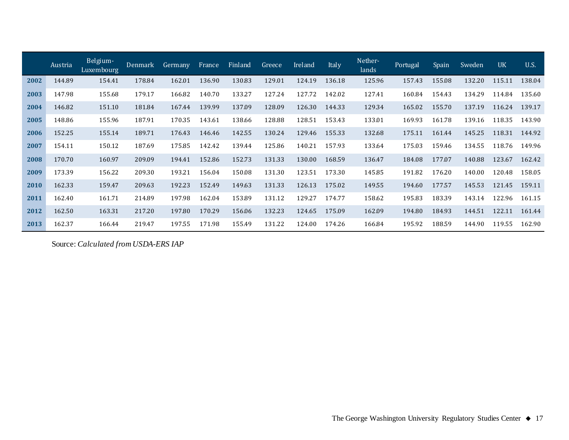|      | Austria | Belgium-<br>Luxembourg | <b>Denmark</b> | Germany | France | Finland | Greece | Ireland | Italy  | Nether-<br>lands | Portugal | Spain  | <b>Sweden</b> | <b>UK</b> | <b>U.S.</b> |
|------|---------|------------------------|----------------|---------|--------|---------|--------|---------|--------|------------------|----------|--------|---------------|-----------|-------------|
| 2002 | 144.89  | 154.41                 | 178.84         | 162.01  | 136.90 | 130.83  | 129.01 | 124.19  | 136.18 | 125.96           | 157.43   | 155.08 | 132.20        | 115.11    | 138.04      |
| 2003 | 147.98  | 155.68                 | 179.17         | 166.82  | 140.70 | 133.27  | 127.24 | 127.72  | 142.02 | 127.41           | 160.84   | 154.43 | 134.29        | 114.84    | 135.60      |
| 2004 | 146.82  | 151.10                 | 181.84         | 167.44  | 139.99 | 137.09  | 128.09 | 126.30  | 144.33 | 129.34           | 165.02   | 155.70 | 137.19        | 116.24    | 139.17      |
| 2005 | 148.86  | 155.96                 | 187.91         | 170.35  | 143.61 | 138.66  | 128.88 | 128.51  | 153.43 | 133.01           | 169.93   | 161.78 | 139.16        | 118.35    | 143.90      |
| 2006 | 152.25  | 155.14                 | 189.71         | 176.43  | 146.46 | 142.55  | 130.24 | 129.46  | 155.33 | 132.68           | 175.11   | 161.44 | 145.25        | 118.31    | 144.92      |
| 2007 | 154.11  | 150.12                 | 187.69         | 175.85  | 142.42 | 139.44  | 125.86 | 140.21  | 157.93 | 133.64           | 175.03   | 159.46 | 134.55        | 118.76    | 149.96      |
| 2008 | 170.70  | 160.97                 | 209.09         | 194.41  | 152.86 | 152.73  | 131.33 | 130.00  | 168.59 | 136.47           | 184.08   | 177.07 | 140.88        | 123.67    | 162.42      |
| 2009 | 173.39  | 156.22                 | 209.30         | 193.21  | 156.04 | 150.08  | 131.30 | 123.51  | 173.30 | 145.85           | 191.82   | 176.20 | 140.00        | 120.48    | 158.05      |
| 2010 | 162.33  | 159.47                 | 209.63         | 192.23  | 152.49 | 149.63  | 131.33 | 126.13  | 175.02 | 149.55           | 194.60   | 177.57 | 145.53        | 121.45    | 159.11      |
| 2011 | 162.40  | 161.71                 | 214.89         | 197.98  | 162.04 | 153.89  | 131.12 | 129.27  | 174.77 | 158.62           | 195.83   | 183.39 | 143.14        | 122.96    | 161.15      |
| 2012 | 162.50  | 163.31                 | 217.20         | 197.80  | 170.29 | 156.06  | 132.23 | 124.65  | 175.09 | 162.09           | 194.80   | 184.93 | 144.51        | 122.11    | 161.44      |
| 2013 | 162.37  | 166.44                 | 219.47         | 197.55  | 171.98 | 155.49  | 131.22 | 124.00  | 174.26 | 166.84           | 195.92   | 188.59 | 144.90        | 119.55    | 162.90      |

Source: *Calculated from USDA-ERS IAP*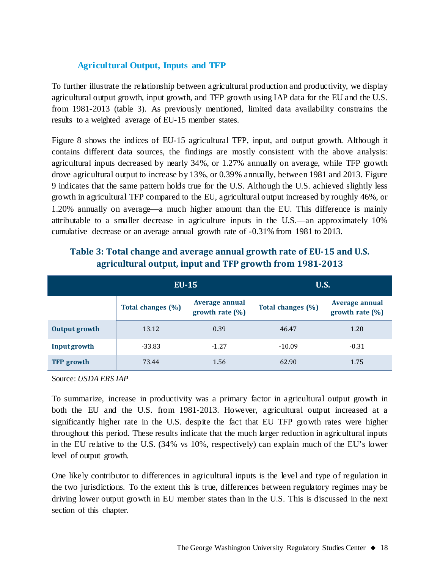#### **Agricultural Output, Inputs and TFP**

To further illustrate the relationship between agricultural production and productivity, we display agricultural output growth, input growth, and TFP growth using IAP data for the EU and the U.S. from 1981-2013 (table 3). As previously mentioned, limited data availability constrains the results to a weighted average of EU-15 member states.

Figure 8 shows the indices of EU-15 agricultural TFP, input, and output growth. Although it contains different data sources, the findings are mostly consistent with the above analysis: agricultural inputs decreased by nearly 34%, or 1.27% annually on average, while TFP growth drove agricultural output to increase by 13%, or 0.39% annually, between 1981 and 2013. Figure 9 indicates that the same pattern holds true for the U.S. Although the U.S. achieved slightly less growth in agricultural TFP compared to the EU, agricultural output increased by roughly 46%, or 1.20% annually on average—a much higher amount than the EU. This difference is mainly attributable to a smaller decrease in agriculture inputs in the U.S.—an approximately 10% cumulative decrease or an average annual growth rate of -0.31% from 1981 to 2013.

|                   | $EU-15$           |                                             | <b>U.S.</b>       |                                      |
|-------------------|-------------------|---------------------------------------------|-------------------|--------------------------------------|
|                   | Total changes (%) | <b>Average annual</b><br>growth rate $(\%)$ | Total changes (%) | Average annual<br>growth rate $(\%)$ |
| Output growth     | 13.12             | 0.39                                        | 46.47             | 1.20                                 |
| Input growth      | $-33.83$          | $-1.27$                                     | $-10.09$          | $-0.31$                              |
| <b>TFP</b> growth | 73.44             | 1.56                                        | 62.90             | 1.75                                 |

## **Table 3: Total change and average annual growth rate of EU-15 and U.S. agricultural output, input and TFP growth from 1981-2013**

Source: *USDA ERS IAP*

To summarize, increase in productivity was a primary factor in agricultural output growth in both the EU and the U.S. from 1981-2013. However, agricultural output increased at a significantly higher rate in the U.S. despite the fact that EU TFP growth rates were higher throughout this period. These results indicate that the much larger reduction in agricultural inputs in the EU relative to the U.S. (34% vs 10%, respectively) can explain much of the EU's lower level of output growth.

One likely contributor to differences in agricultural inputs is the level and type of regulation in the two jurisdictions. To the extent this is true, differences between regulatory regimes may be driving lower output growth in EU member states than in the U.S. This is discussed in the next section of this chapter.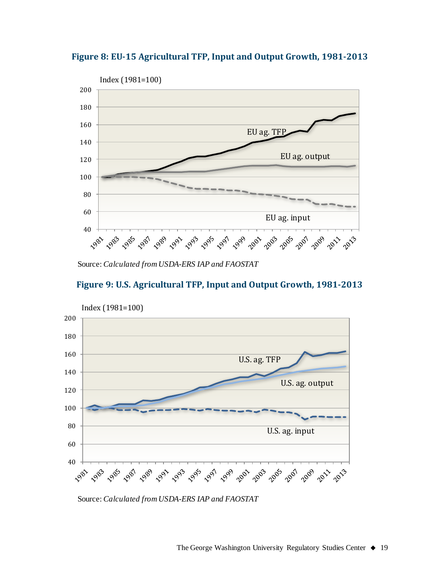



Source: *Calculated from USDA-ERS IAP and FAOSTAT*





Source: *Calculated from USDA-ERS IAP and FAOSTAT*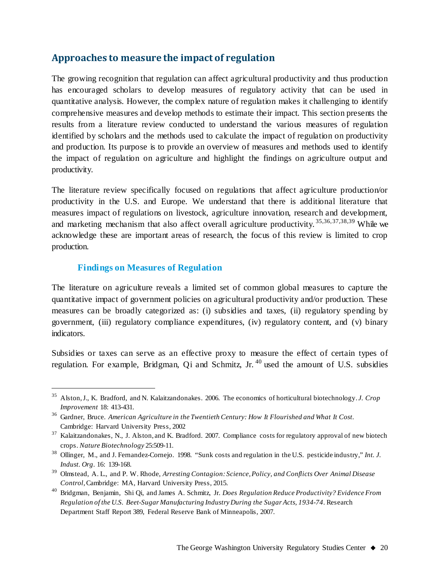## **Approaches to measure the impact of regulation**

The growing recognition that regulation can affect agricultural productivity and thus production has encouraged scholars to develop measures of regulatory activity that can be used in quantitative analysis. However, the complex nature of regulation makes it challenging to identify comprehensive measures and develop methods to estimate their impact. This section presents the results from a literature review conducted to understand the various measures of regulation identified by scholars and the methods used to calculate the impact of regulation on productivity and production. Its purpose is to provide an overview of measures and methods used to identify the impact of regulation on agriculture and highlight the findings on agriculture output and productivity.

The literature review specifically focused on regulations that affect agriculture production/or productivity in the U.S. and Europe. We understand that there is additional literature that measures impact of regulations on livestock, agriculture innovation, research and development, and marketing mechanism that also affect overall agriculture productivity. [35](#page-19-0),[36,](#page-19-1)[37,](#page-19-2)[38](#page-19-3)[,39](#page-19-4) While we acknowledge these are important areas of research, the focus of this review is limited to crop production.

#### **Findings on Measures of Regulation**

The literature on agriculture reveals a limited set of common global measures to capture the quantitative impact of government policies on agricultural productivity and/or production. These measures can be broadly categorized as: (i) subsidies and taxes, (ii) regulatory spending by government, (iii) regulatory compliance expenditures, (iv) regulatory content, and (v) binary indicators.

Subsidies or taxes can serve as an effective proxy to measure the effect of certain types of regulation. For example, Bridgman, Qi and Schmitz, Jr.<sup>[40](#page-19-5)</sup> used the amount of U.S. subsidies

<span id="page-19-0"></span> <sup>35</sup> Alston, J., K. Bradford, and N. Kalaitzandonakes. 2006. The economics of horticultural biotechnology. *J. Crop Improvement* 18: 413-431.

<span id="page-19-1"></span><sup>36</sup> Gardner, Bruce. *American Agriculture in the Twentieth Century: How It Flourished and What It Cost*. Cambridge: Harvard University Press, 2002

<span id="page-19-2"></span><sup>&</sup>lt;sup>37</sup> Kalaitzandonakes, N., J. Alston, and K. Bradford. 2007. Compliance costs for regulatory approval of new biotech crops. *Nature Biotechnology* 25:509-11.

<span id="page-19-3"></span><sup>38</sup> Ollinger, M., and J. Fernandez-Cornejo. 1998. "Sunk costs and regulation in the U.S. pesticide industry," *Int. J. Indust. Org*. 16: 139-168.

<span id="page-19-4"></span><sup>39</sup> Olmstead, A. L., and P. W. Rhode, *Arresting Contagion: Science, Policy, and Conflicts Over Animal Disease Control*, Cambridge: MA, Harvard University Press, 2015.

<span id="page-19-5"></span><sup>40</sup> Bridgman, Benjamin, Shi Qi, and James A. Schmitz, Jr. *Does Regulation Reduce Productivity? Evidence From Regulation of the U.S. Beet-Sugar Manufacturing Industry During the Sugar Acts, 1934-74*. Research Department Staff Report 389, Federal Reserve Bank of Minneapolis, 2007.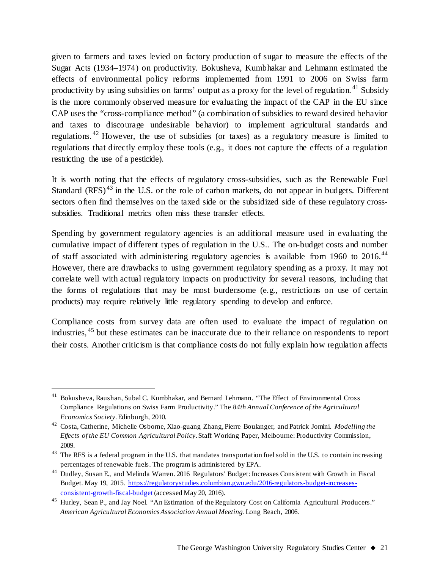given to farmers and taxes levied on factory production of sugar to measure the effects of the Sugar Acts (1934–1974) on productivity. Bokusheva, Kumbhakar and Lehmann estimated the effects of environmental policy reforms implemented from 1991 to 2006 on Swiss farm productivity by using subsidies on farms' output as a proxy for the level of regulation.<sup>[41](#page-20-0)</sup> Subsidy is the more commonly observed measure for evaluating the impact of the CAP in the EU since CAP uses the "cross-compliance method" (a combination of subsidies to reward desired behavior and taxes to discourage undesirable behavior) to implement agricultural standards and regulations. <sup>[42](#page-20-1)</sup> However, the use of subsidies (or taxes) as a regulatory measure is limited to regulations that directly employ these tools (e.g., it does not capture the effects of a regulation restricting the use of a pesticide).

It is worth noting that the effects of regulatory cross-subsidies, such as the Renewable Fuel Standard  $(RFS)^{43}$  $(RFS)^{43}$  $(RFS)^{43}$  in the U.S. or the role of carbon markets, do not appear in budgets. Different sectors often find themselves on the taxed side or the subsidized side of these regulatory crosssubsidies. Traditional metrics often miss these transfer effects.

Spending by government regulatory agencies is an additional measure used in evaluating the cumulative impact of different types of regulation in the U.S.. The on-budget costs and number of staff associated with administering regulatory agencies is available from 1960 to 2016.<sup>[44](#page-20-3)</sup> However, there are drawbacks to using government regulatory spending as a proxy. It may not correlate well with actual regulatory impacts on productivity for several reasons, including that the forms of regulations that may be most burdensome (e.g., restrictions on use of certain products) may require relatively little regulatory spending to develop and enforce.

Compliance costs from survey data are often used to evaluate the impact of regulation on industries, [45](#page-20-4) but these estimates can be inaccurate due to their reliance on respondents to report their costs. Another criticism is that compliance costs do not fully explain how regulation affects

<span id="page-20-0"></span><sup>&</sup>lt;sup>41</sup> Bokusheva, Raushan, Subal C. Kumbhakar, and Bernard Lehmann. "The Effect of Environmental Cross Compliance Regulations on Swiss Farm Productivity." The *84th Annual Conference of the Agricultural Economics Society*. Edinburgh, 2010.

<span id="page-20-1"></span><sup>42</sup> Costa, Catherine, Michelle Osborne, Xiao-guang Zhang, Pierre Boulanger, and Patrick Jomini. *Modelling the Effects of the EU Common Agricultural Policy*. Staff Working Paper, Melbourne: Productivity Commission, 2009.

<span id="page-20-2"></span><sup>&</sup>lt;sup>43</sup> The RFS is a federal program in the U.S. that mandates transportation fuel sold in the U.S. to contain increasing percentages of renewable fuels. The program is administered by EPA.

<span id="page-20-3"></span><sup>44</sup> Dudley, Susan E., and Melinda Warren. 2016 Regulators' Budget: Increases Consistent with Growth in Fiscal Budget. May 19, 2015. [https://regulatorystudies.columbian.gwu.edu/2016-regulators-budget-increases](https://regulatorystudies.columbian.gwu.edu/2016-regulators-budget-increases-consistent-growth-fiscal-budget)[consistent-growth-fiscal-budget](https://regulatorystudies.columbian.gwu.edu/2016-regulators-budget-increases-consistent-growth-fiscal-budget) (accessed May 20, 2016).

<span id="page-20-4"></span><sup>&</sup>lt;sup>45</sup> Hurley, Sean P., and Jay Noel. "An Estimation of the Regulatory Cost on California Agricultural Producers." *American Agricultural Economics Association Annual Meeting*. Long Beach, 2006.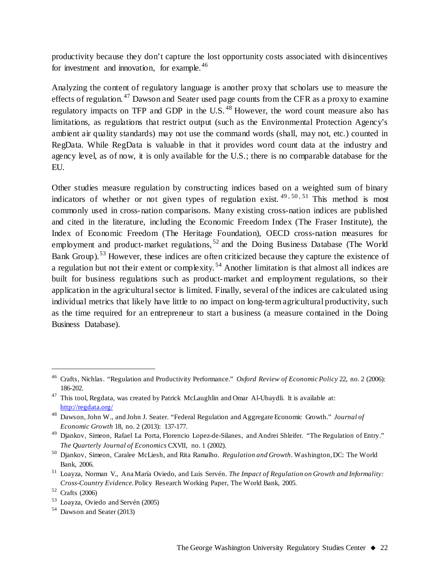productivity because they don't capture the lost opportunity costs associated with disincentives for investment and innovation, for example.<sup>[46](#page-21-0)</sup>

Analyzing the content of regulatory language is another proxy that scholars use to measure the effects of regulation.<sup>[47](#page-21-1)</sup> Dawson and Seater used page counts from the CFR as a proxy to examine regulatory impacts on TFP and GDP in the U.S.<sup>[48](#page-21-2)</sup> However, the word count measure also has limitations, as regulations that restrict output (such as the Environmental Protection Agency's ambient air quality standards) may not use the command words (shall, may not, etc.) counted in RegData. While RegData is valuable in that it provides word count data at the industry and agency level, as of now, it is only available for the U.S.; there is no comparable database for the EU.

Other studies measure regulation by constructing indices based on a weighted sum of binary indicators of whether or not given types of regulation exist.  $49, 50, 51$  $49, 50, 51$  $49, 50, 51$  $49, 50, 51$  $49, 50, 51$  This method is most commonly used in cross-nation comparisons. Many existing cross-nation indices are published and cited in the literature, including the Economic Freedom Index (The Fraser Institute), the Index of Economic Freedom (The Heritage Foundation), OECD cross-nation measures for employment and product-market regulations,<sup>[52](#page-21-6)</sup> and the Doing Business Database (The World Bank Group).<sup>[53](#page-21-7)</sup> However, these indices are often criticized because they capture the existence of a regulation but not their extent or complexity. [54](#page-21-8) Another limitation is that almost all indices are built for business regulations such as product-market and employment regulations, so their application in the agricultural sector is limited. Finally, several of the indices are calculated using individual metrics that likely have little to no impact on long-term agricultural productivity, such as the time required for an entrepreneur to start a business (a measure contained in the Doing Business Database).

<span id="page-21-0"></span> <sup>46</sup> Crafts, Nichlas. "Regulation and Productivity Performance." *Oxford Review of Economic Policy* 22, no. 2 (2006): 186-202.

<span id="page-21-1"></span><sup>&</sup>lt;sup>47</sup> This tool, Regdata, was created by Patrick McLaughlin and Omar Al-Ubaydli. It is available at: <http://regdata.org/>

<span id="page-21-2"></span><sup>48</sup> Dawson, John W., and John J. Seater. "Federal Regulation and Aggregate Economic Growth." *Journal of Economic Growth* 18, no. 2 (2013): 137-177.

<span id="page-21-3"></span><sup>49</sup> Djankov, Simeon, Rafael La Porta, Florencio Lopez-de-Silanes, and Andrei Shleifer. "The Regulation of Entry." *The Quarterly Journal of Economics* CXVII, no. 1 (2002).

<span id="page-21-4"></span><sup>50</sup> Djankov, Simeon, Caralee McLiesh, and Rita Ramalho. *Regulation and Growth*. Washington, DC: The World Bank, 2006.

<span id="page-21-5"></span><sup>51</sup> Loayza, Norman V., Ana María Oviedo, and Luis Servén. *The Impact of Regulation on Growth and Informality: Cross-Country Evidence.*Policy Research Working Paper, The World Bank, 2005.

<span id="page-21-6"></span><sup>52</sup> Crafts (2006)

<span id="page-21-7"></span><sup>53</sup> Loayza, Oviedo and Servén (2005)

<span id="page-21-8"></span><sup>54</sup> Dawson and Seater (2013)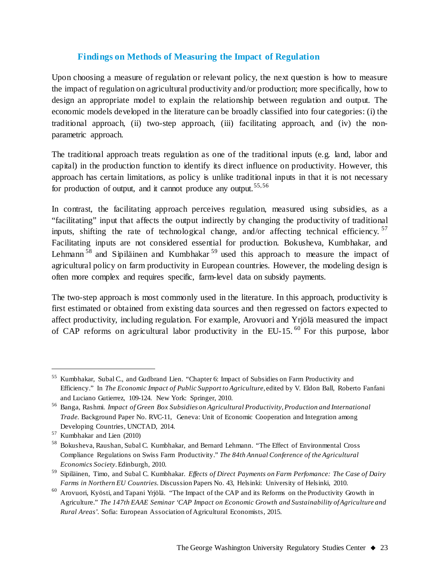#### **Findings on Methods of Measuring the Impact of Regulation**

Upon choosing a measure of regulation or relevant policy, the next question is how to measure the impact of regulation on agricultural productivity and/or production; more specifically, how to design an appropriate model to explain the relationship between regulation and output. The economic models developed in the literature can be broadly classified into four categories: (i) the traditional approach, (ii) two-step approach, (iii) facilitating approach, and (iv) the nonparametric approach.

The traditional approach treats regulation as one of the traditional inputs (e.g. land, labor and capital) in the production function to identify its direct influence on productivity. However, this approach has certain limitations, as policy is unlike traditional inputs in that it is not necessary for production of output, and it cannot produce any output.<sup>[55](#page-22-0),[56](#page-22-1)</sup>

In contrast, the facilitating approach perceives regulation, measured using subsidies, as a "facilitating" input that affects the output indirectly by changing the productivity of traditional inputs, shifting the rate of technological change, and/or affecting technical efficiency. [57](#page-22-2) Facilitating inputs are not considered essential for production. Bokusheva, Kumbhakar, and Lehmann<sup>[58](#page-22-3)</sup> and Sipiläinen and Kumbhakar<sup>[59](#page-22-4)</sup> used this approach to measure the impact of agricultural policy on farm productivity in European countries. However, the modeling design is often more complex and requires specific, farm-level data on subsidy payments.

The two-step approach is most commonly used in the literature. In this approach, productivity is first estimated or obtained from existing data sources and then regressed on factors expected to affect productivity, including regulation. For example, Arovuori and Yrjölä measured the impact of CAP reforms on agricultural labor productivity in the EU-15. [60](#page-22-5) For this purpose, labor

<span id="page-22-0"></span><sup>&</sup>lt;sup>55</sup> Kumbhakar, Subal C., and Gudbrand Lien. "Chapter 6: Impact of Subsidies on Farm Productivity and Efficiency." In *The Economic Impact of Public Support to Agriculture*, edited by V. Eldon Ball, Roberto Fanfani and Luciano Gutierrez, 109-124. New York: Springer, 2010.

<span id="page-22-1"></span><sup>56</sup> Banga, Rashmi. *Impact of Green Box Subsidies on Agricultural Productivity, Production and International Trade.* Background Paper No. RVC-11, Geneva: Unit of Economic Cooperation and Integration among Developing Countries, UNCTAD, 2014.

<span id="page-22-2"></span><sup>57</sup> Kumbhakar and Lien (2010)

<span id="page-22-3"></span><sup>58</sup> Bokusheva, Raushan, Subal C. Kumbhakar, and Bernard Lehmann. "The Effect of Environmental Cross Compliance Regulations on Swiss Farm Productivity." *The 84th Annual Conference of the Agricultural Economics Society*. Edinburgh, 2010.

<span id="page-22-4"></span><sup>59</sup> Sipiläinen, Timo, and Subal C. Kumbhakar. *Effects of Direct Payments on Farm Perfomance: The Case of Dairy Farms in Northern EU Countries*. Discussion Papers No. 43, Helsinki: University of Helsinki, 2010.

<span id="page-22-5"></span><sup>60</sup> Arovuori, Kyösti, and Tapani Yrjölä. "The Impact of the CAP and its Reforms on the Productivity Growth in Agriculture." *The 147th EAAE Seminar 'CAP Impact on Economic Growth and Sustainability of Agriculture and Rural Areas'.* Sofia: European Association of Agricultural Economists, 2015.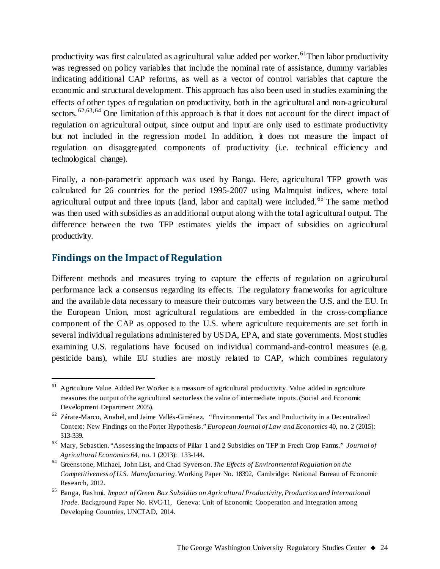productivity was first calculated as agricultural value added per worker.<sup>61</sup>Then labor productivity was regressed on policy variables that include the nominal rate of assistance, dummy variables indicating additional CAP reforms, as well as a vector of control variables that capture the economic and structural development. This approach has also been used in studies examining the effects of other types of regulation on productivity, both in the agricultural and non-agricultural sectors.  ${}^{62,63,64}$  ${}^{62,63,64}$  ${}^{62,63,64}$  ${}^{62,63,64}$  ${}^{62,63,64}$  One limitation of this approach is that it does not account for the direct impact of regulation on agricultural output, since output and input are only used to estimate productivity but not included in the regression model. In addition, it does not measure the impact of regulation on disaggregated components of productivity (i.e. technical efficiency and technological change).

Finally, a non-parametric approach was used by Banga. Here, agricultural TFP growth was calculated for 26 countries for the period 1995-2007 using Malmquist indices, where total agricultural output and three inputs (land, labor and capital) were included.<sup>[65](#page-23-4)</sup> The same method was then used with subsidies as an additional output along with the total agricultural output. The difference between the two TFP estimates yields the impact of subsidies on agricultural productivity.

## **Findings on the Impact of Regulation**

Different methods and measures trying to capture the effects of regulation on agricultural performance lack a consensus regarding its effects. The regulatory frameworks for agriculture and the available data necessary to measure their outcomes vary between the U.S. and the EU. In the European Union, most agricultural regulations are embedded in the cross-compliance component of the CAP as opposed to the U.S. where agriculture requirements are set forth in several individual regulations administered by USDA, EPA, and state governments. Most studies examining U.S. regulations have focused on individual command-and-control measures (e.g. pesticide bans), while EU studies are mostly related to CAP, which combines regulatory

<span id="page-23-0"></span> $61$  Agriculture Value Added Per Worker is a measure of agricultural productivity. Value added in agriculture measures the output of the agricultural sector less the value of intermediate inputs.(Social and Economic Development Department 2005).

<span id="page-23-1"></span> $62$  Zárate-Marco, Anabel, and Jaime Vallés-Giménez. "Environmental Tax and Productivity in a Decentralized Context: New Findings on the Porter Hypothesis." *European Journal of Law and Economics* 40, no. 2 (2015): 313-339.

<span id="page-23-2"></span><sup>63</sup> Mary, Sebastien. "Assessing the Impacts of Pillar 1 and 2 Subsidies on TFP in Frech Crop Farms." *Journal of Agricultural Economics* 64, no. 1 (2013): 133-144.

<span id="page-23-3"></span><sup>64</sup> Greenstone, Michael, John List, and Chad Syverson. *The Effects of Environmental Regulation on the Competitiveness of U.S. Manufacturing*. Working Paper No. 18392, Cambridge: National Bureau of Economic Research, 2012.

<span id="page-23-4"></span><sup>65</sup> Banga, Rashmi. *Impact of Green Box Subsidies on Agricultural Productivity, Production and International Trade.* Background Paper No. RVC-11, Geneva: Unit of Economic Cooperation and Integration among Developing Countries, UNCTAD, 2014.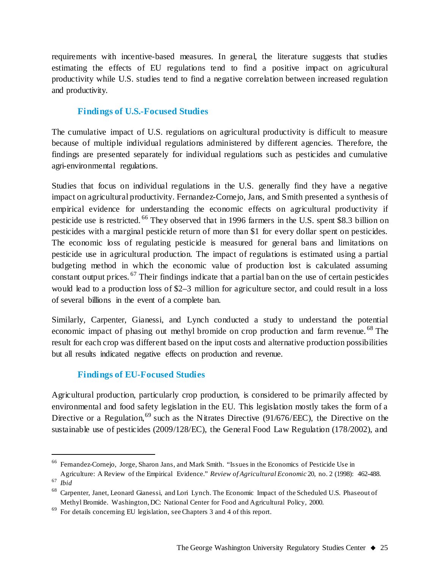requirements with incentive-based measures. In general, the literature suggests that studies estimating the effects of EU regulations tend to find a positive impact on agricultural productivity while U.S. studies tend to find a negative correlation between increased regulation and productivity.

## **Findings of U.S.-Focused Studies**

The cumulative impact of U.S. regulations on agricultural productivity is difficult to measure because of multiple individual regulations administered by different agencies. Therefore, the findings are presented separately for individual regulations such as pesticides and cumulative agri-environmental regulations.

Studies that focus on individual regulations in the U.S. generally find they have a negative impact on agricultural productivity. Fernandez-Cornejo, Jans, and Smith presented a synthesis of empirical evidence for understanding the economic effects on agricultural productivity if pesticide use is restricted. <sup>[66](#page-24-0)</sup> They observed that in 1996 farmers in the U.S. spent \$8.3 billion on pesticides with a marginal pesticide return of more than \$1 for every dollar spent on pesticides. The economic loss of regulating pesticide is measured for general bans and limitations on pesticide use in agricultural production. The impact of regulations is estimated using a partial budgeting method in which the economic value of production lost is calculated assuming constant output prices. [67](#page-24-1) Their findings indicate that a partial ban on the use of certain pesticides would lead to a production loss of \$2–3 million for agriculture sector, and could result in a loss of several billions in the event of a complete ban.

Similarly, Carpenter, Gianessi, and Lynch conducted a study to understand the potential economic impact of phasing out methyl bromide on crop production and farm revenue.<sup>[68](#page-24-2)</sup> The result for each crop was different based on the input costs and alternative production possibilities but all results indicated negative effects on production and revenue.

## **Findings of EU-Focused Studies**

Agricultural production, particularly crop production, is considered to be primarily affected by environmental and food safety legislation in the EU. This legislation mostly takes the form of a Directive or a Regulation,<sup>[69](#page-24-3)</sup> such as the Nitrates Directive (91/676/EEC), the Directive on the sustainable use of pesticides (2009/128/EC), the General Food Law Regulation (178/2002), and

<span id="page-24-0"></span> <sup>66</sup> Fernandez-Cornejo, Jorge, Sharon Jans, and Mark Smith. "Issues in the Economics of Pesticide Use in

<span id="page-24-1"></span>Agriculture: A Review of the Empirical Evidence." *Review of Agricultural Economic* 20, no. 2 (1998): 462-488. <sup>67</sup> *Ibid*

<span id="page-24-2"></span><sup>68</sup> Carpenter, Janet, Leonard Gianessi, and Lori Lynch. The Economic Impact of the Scheduled U.S. Phaseout of Methyl Bromide. Washington, DC: National Center for Food and Agricultural Policy, 2000.

<span id="page-24-3"></span><sup>69</sup> For details concerning EU legislation, see Chapters 3 and 4 of this report.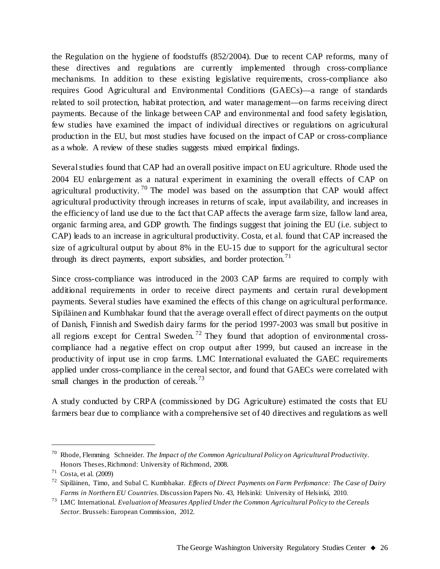the Regulation on the hygiene of foodstuffs (852/2004). Due to recent CAP reforms, many of these directives and regulations are currently implemented through cross-compliance mechanisms. In addition to these existing legislative requirements, cross-compliance also requires Good Agricultural and Environmental Conditions (GAECs)—a range of standards related to soil protection, habitat protection, and water management—on farms receiving direct payments. Because of the linkage between CAP and environmental and food safety legislation, few studies have examined the impact of individual directives or regulations on agricultural production in the EU, but most studies have focused on the impact of CAP or cross-compliance as a whole. A review of these studies suggests mixed empirical findings.

Several studies found that CAP had an overall positive impact on EU agriculture. Rhode used the 2004 EU enlargement as a natural experiment in examining the overall effects of CAP on agricultural productivity.<sup>[70](#page-25-0)</sup> The model was based on the assumption that CAP would affect agricultural productivity through increases in returns of scale, input availability, and increases in the efficiency of land use due to the fact that CAP affects the average farm size, fallow land area, organic farming area, and GDP growth. The findings suggest that joining the EU (i.e. subject to CAP) leads to an increase in agricultural productivity. Costa, et al. found that CAP increased the size of agricultural output by about 8% in the EU-15 due to support for the agricultural sector through its direct payments, export subsidies, and border protection.<sup>[71](#page-25-1)</sup>

Since cross-compliance was introduced in the 2003 CAP farms are required to comply with additional requirements in order to receive direct payments and certain rural development payments. Several studies have examined the effects of this change on agricultural performance. Sipiläinen and Kumbhakar found that the average overall effect of direct payments on the output of Danish, Finnish and Swedish dairy farms for the period 1997-2003 was small but positive in all regions except for Central Sweden.<sup>[72](#page-25-2)</sup> They found that adoption of environmental crosscompliance had a negative effect on crop output after 1999, but caused an increase in the productivity of input use in crop farms. LMC International evaluated the GAEC requirements applied under cross-compliance in the cereal sector, and found that GAECs were correlated with small changes in the production of cereals.<sup>[73](#page-25-3)</sup>

A study conducted by CRPA (commissioned by DG Agriculture) estimated the costs that EU farmers bear due to compliance with a comprehensive set of 40 directives and regulations as well

<span id="page-25-0"></span> <sup>70</sup> Rhode, Flemming Schneider. *The Impact of the Common Agricultural Policy on Agricultural Productivity*. Honors Theses, Richmond: University of Richmond, 2008.

<span id="page-25-1"></span> $71$  Costa, et al. (2009)

<span id="page-25-2"></span><sup>72</sup> Sipiläinen, Timo, and Subal C. Kumbhakar. *Effects of Direct Payments on Farm Perfomance: The Case of Dairy Farms in Northern EU Countries*. Discussion Papers No. 43, Helsinki: University of Helsinki, 2010.

<span id="page-25-3"></span><sup>73</sup> LMC International. *Evaluation of Measures Applied Under the Common Agricultural Policy to the Cereals Sector*. Brussels: European Commission, 2012.